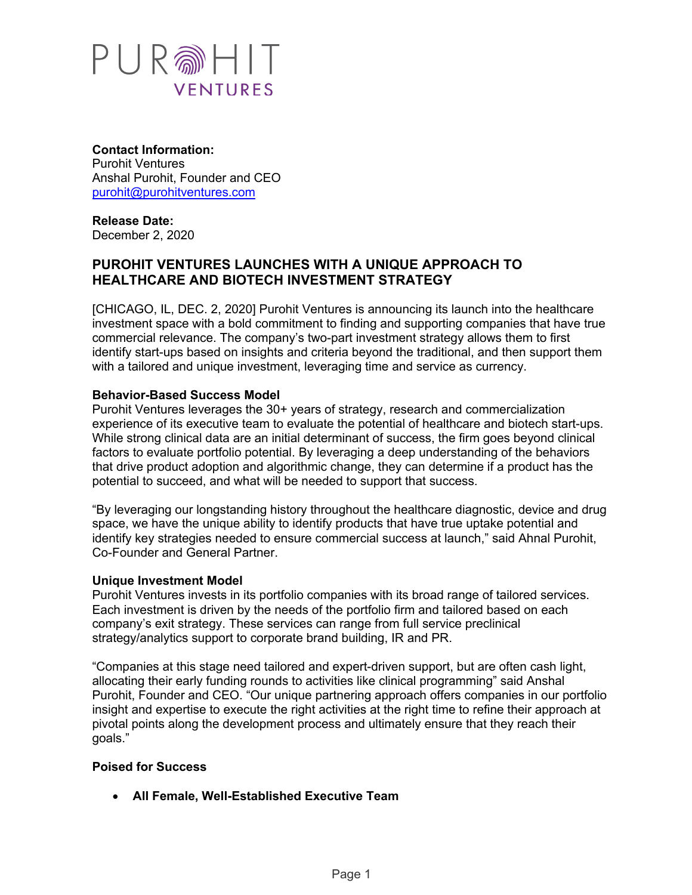

**Contact Information:** Purohit Ventures Anshal Purohit, Founder and CEO purohit@purohitventures.com

**Release Date:** December 2, 2020

# **PUROHIT VENTURES LAUNCHES WITH A UNIQUE APPROACH TO HEALTHCARE AND BIOTECH INVESTMENT STRATEGY**

[CHICAGO, IL, DEC. 2, 2020] Purohit Ventures is announcing its launch into the healthcare investment space with a bold commitment to finding and supporting companies that have true commercial relevance. The company's two-part investment strategy allows them to first identify start-ups based on insights and criteria beyond the traditional, and then support them with a tailored and unique investment, leveraging time and service as currency.

### **Behavior-Based Success Model**

Purohit Ventures leverages the 30+ years of strategy, research and commercialization experience of its executive team to evaluate the potential of healthcare and biotech start-ups. While strong clinical data are an initial determinant of success, the firm goes beyond clinical factors to evaluate portfolio potential. By leveraging a deep understanding of the behaviors that drive product adoption and algorithmic change, they can determine if a product has the potential to succeed, and what will be needed to support that success.

"By leveraging our longstanding history throughout the healthcare diagnostic, device and drug space, we have the unique ability to identify products that have true uptake potential and identify key strategies needed to ensure commercial success at launch," said Ahnal Purohit, Co-Founder and General Partner.

#### **Unique Investment Model**

Purohit Ventures invests in its portfolio companies with its broad range of tailored services. Each investment is driven by the needs of the portfolio firm and tailored based on each company's exit strategy. These services can range from full service preclinical strategy/analytics support to corporate brand building, IR and PR.

"Companies at this stage need tailored and expert-driven support, but are often cash light, allocating their early funding rounds to activities like clinical programming" said Anshal Purohit, Founder and CEO. "Our unique partnering approach offers companies in our portfolio insight and expertise to execute the right activities at the right time to refine their approach at pivotal points along the development process and ultimately ensure that they reach their goals."

#### **Poised for Success**

• **All Female, Well-Established Executive Team**